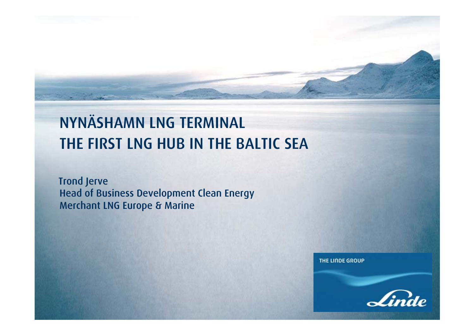# NYNÄSHAMN LNG TERMINALTHE FIRST LNG HUB IN THE BALTIC SEA

Trond Jerve Head of Business Development Clean EnergyMerchant LNG Europe & Marine

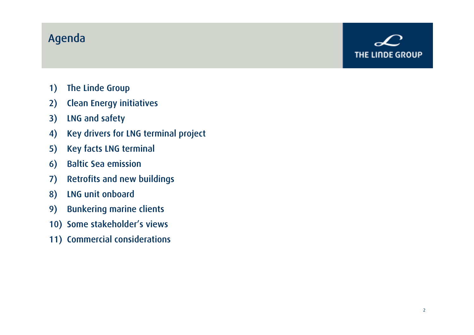### Agenda



- 1) The Linde Group
- 2) Clean Energy initiatives
- 3) LNG and safety
- 4) Key drivers for LNG terminal project
- 5) Key facts LNG terminal
- 6) Baltic Sea emission
- 7) Retrofits and new buildings
- 8) LNG unit onboard
- 9) Bunkering marine clients
- 10) Some stakeholder's views
- 11) Commercial considerations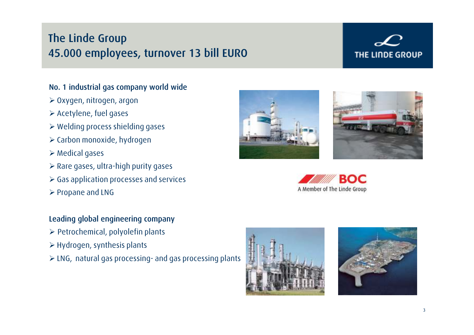# The Linde Group45.000 employees, turnover 13 bill EURO

# **THE LINDE GROUP**

#### No. 1 industrial gas company world wide

- Oxygen, nitrogen, argon
- $\blacktriangleright$  Acetylene, fuel gases
- $\triangleright$  Welding process shielding gases
- $\triangleright$  Carbon monoxide, hydrogen
- Medical gases
- $\triangleright$  Rare gases, ultra-high purity gases
- $\triangleright$  Gas application processes and services
- $\triangleright$  Propane and LNG

#### Leading global engineering company

- $\triangleright$  Petrochemical, polyolefin plants
- $\blacktriangleright$  Hydrogen, synthesis plants
- LNG, natural gas processing- and gas processing plants









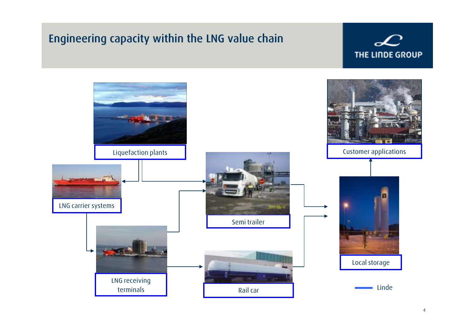# Engineering capacity within the LNG value chain

 $\mathcal{L}$ THE LINDE GROUP

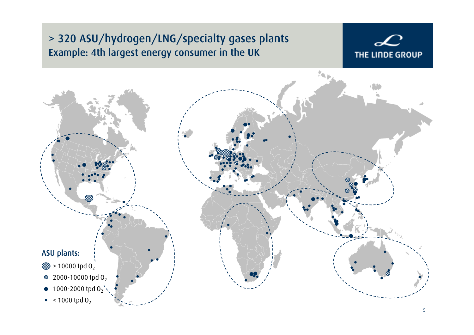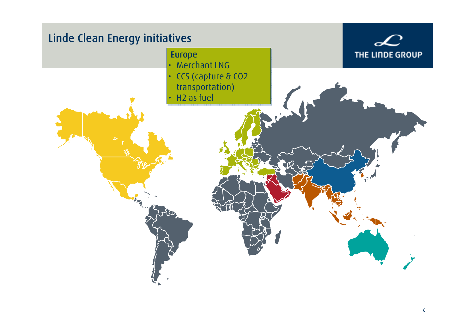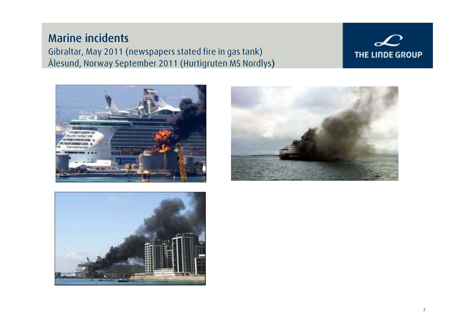### Marine incidents Gibraltar, May 2011 (newspapers stated fire in gas tank)Ålesund, Norway September 2011 (Hurtigruten MS Nordlys)

## $\mathcal{L}$ THE LINDE GROUP





![](_page_6_Picture_4.jpeg)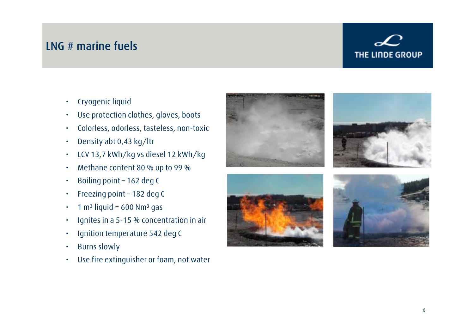### LNG # marine fuels

- •Cryogenic liquid
- •Use protection clothes, gloves, boots
- •Colorless, odorless, tasteless, non-toxic
- •Density abt 0,43 kg/ltr
- •LCV 13,7 kWh/kg vs diesel 12 kWh/kg
- •Methane content 80 % up to 99 %
- •Boiling point – 162 deg C
- •Freezing point – 182 deg C
- • $1 m<sup>3</sup>$  liquid = 600 Nm<sup>3</sup> gas
- •Ignites in a 5-15 % concentration in air
- •Ignition temperature 542 deg C
- •Burns slowly
- •Use fire extinguisher or foam, not water

![](_page_7_Picture_15.jpeg)

![](_page_7_Picture_16.jpeg)

![](_page_7_Picture_17.jpeg)

![](_page_7_Picture_18.jpeg)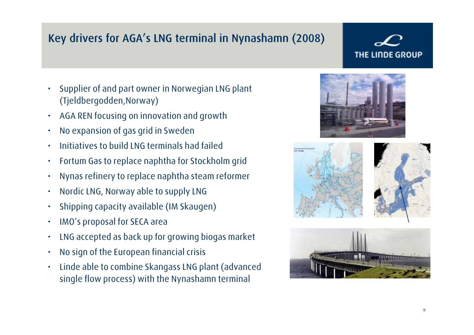# Key drivers for AGA's LNG terminal in Nynashamn (2008)

- • Supplier of and part owner in Norwegian LNG plant (Tjeldbergodden,Norway)
- •AGA REN focusing on innovation and growth
- •No expansion of gas grid in Sweden
- •Initiatives to build LNG terminals had failed
- •Fortum Gas to replace naphtha for Stockholm grid
- •Nynas refinery to replace naphtha steam reformer
- •Nordic LNG, Norway able to supply LNG
- •Shipping capacity available (IM Skaugen)
- •IMO's proposal for SECA area
- •LNG accepted as back up for growing biogas market
- •No sign of the European financial crisis
- • Linde able to combine Skangass LNG plant (advanced single flow process) with the Nynashamn terminal

![](_page_8_Picture_14.jpeg)

![](_page_8_Picture_15.jpeg)

![](_page_8_Picture_16.jpeg)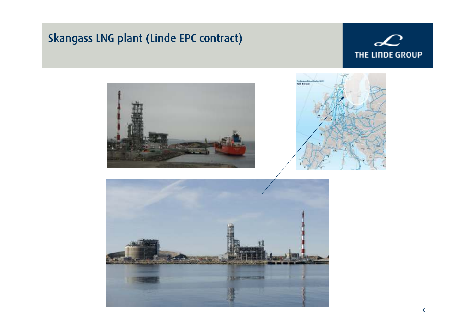# Skangass LNG plant (Linde EPC contract)

![](_page_9_Picture_1.jpeg)

![](_page_9_Picture_2.jpeg)

![](_page_9_Picture_3.jpeg)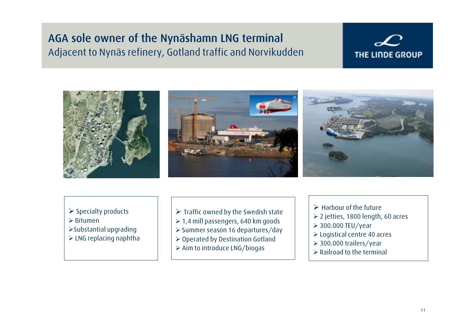### AGA sole owner of the Nynäshamn LNG terminal Adjacent to Nynäs refinery, Gotland traffic and Norvikudden

![](_page_10_Picture_2.jpeg)

- $\triangleright$  Specialty products
- Bitumen
- Substantial upgrading
- $\triangleright$  LNG replacing naphtha
- $\triangleright$  Traffic owned by the Swedish state
- $\geq 1.4$  mill passengers, 640 km goods
- Summer season 16 departures/day
- ► Operated by Destination Gotland
- $\triangleright$  Aim to introduce LNG/biogas
- $\blacktriangleright$  Harbour of the future
- 2 jetties, 1800 length, 60 acres
- $>$  300.000 TEU/year
- Logistical centre 40 acres
- 300.000 trailers/year
- $\triangleright$  Railroad to the terminal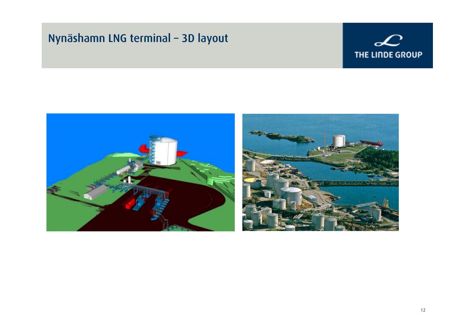# Nynäshamn LNG terminal – 3D layout

![](_page_11_Picture_1.jpeg)

![](_page_11_Picture_2.jpeg)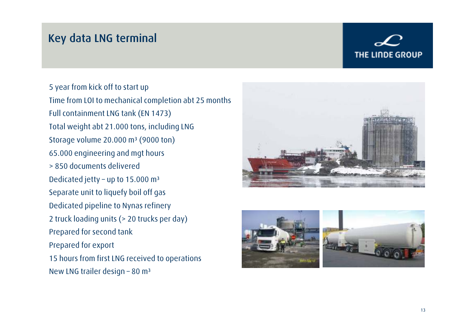### Key data LNG terminal

# **THE LINDE GROUP**

5 year from kick off to start upTime from LOI to mechanical completion abt 25 months Full containment LNG tank (EN 1473)Total weight abt 21.000 tons, including LNGStorage volume  $20.000$  m<sup>3</sup> (9000 ton) 65.000 engineering and mgt hours> 850 documents deliveredDedicated jetty - up to 15.000 m<sup>3</sup> Separate unit to liquefy boil off gasDedicated pipeline to Nynas refinery2 truck loading units (> 20 trucks per day)Prepared for second tankPrepared for export 15 hours from first LNG received to operationsNew LNG trailer design - 80 m<sup>3</sup>

![](_page_12_Picture_3.jpeg)

![](_page_12_Picture_4.jpeg)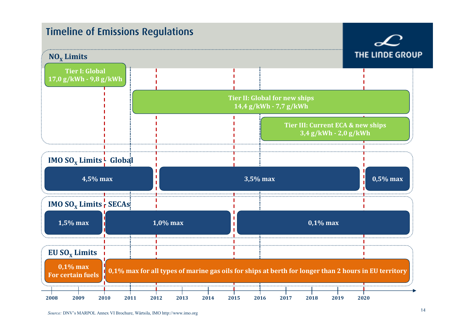![](_page_13_Figure_0.jpeg)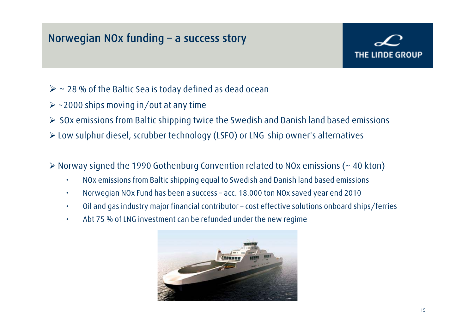## Norwegian NOx funding – a success story

- $>$  ~ 28 % of the Baltic Sea is today defined as dead ocean
- $\triangleright$  ~2000 ships moving in/out at any time
- $\triangleright$  SOx emissions from Baltic shipping twice the Swedish and Danish land based emissions
- Low sulphur diesel, scrubber technology (LSFO) or LNG ship owner's alternatives
- $\triangleright$  Norway signed the 1990 Gothenburg Convention related to NOx emissions (~ 40 kton)
	- •NOx emissions from Baltic shipping equal to Swedish and Danish land based emissions
	- •Norwegian NOx Fund has been a success – acc. 18.000 ton NOx saved year end 2010
	- •Oil and gas industry major financial contributor – cost effective solutions onboard ships/ferries
	- •Abt 75 % of LNG investment can be refunded under the new regime

![](_page_14_Picture_11.jpeg)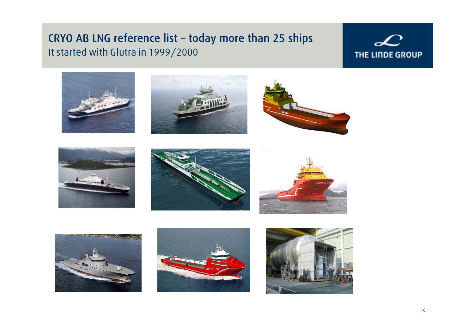### CRYO AB LNG reference list – today more than 25 shipsIt started with Glutra in 1999/2000

## $\mathcal{L}$ THE LINDE GROUP

![](_page_15_Picture_2.jpeg)

![](_page_15_Picture_3.jpeg)

![](_page_15_Picture_4.jpeg)

![](_page_15_Picture_5.jpeg)

![](_page_15_Picture_6.jpeg)

![](_page_15_Picture_7.jpeg)

![](_page_15_Picture_8.jpeg)

![](_page_15_Picture_9.jpeg)

![](_page_15_Picture_10.jpeg)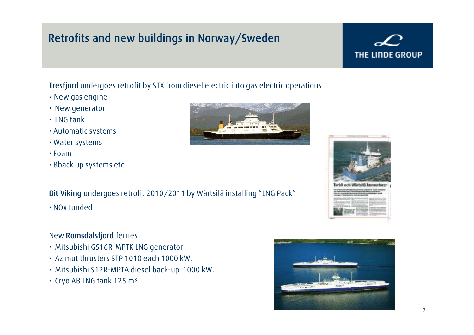# Retrofits and new buildings in Norway/Sweden

#### Tresfjord undergoes retrofit by STX from diesel electric into gas electric operations

- New gas engine
- New generator
- LNG tank
- Automatic systems
- Water systems
- Foam
- Bback up systems etc

#### Bit Viking undergoes retrofit 2010/2011 by Wärtsilä installing "LNG Pack"

• NOx funded

#### New **Romsdalsfjord** ferries

- Mitsubishi GS16R-MPTK LNG generator
- Azimut thrusters STP 1010 each 1000 kW.
- Mitsubishi S12R-MPTA diesel back-up 1000 kW.
- $\cdot$  Cryo AB LNG tank 125 m $^3$

![](_page_16_Figure_16.jpeg)

![](_page_16_Picture_17.jpeg)

![](_page_16_Picture_18.jpeg)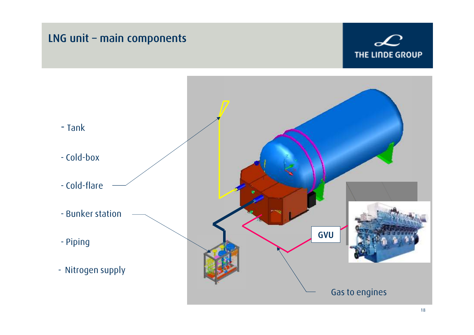![](_page_17_Figure_0.jpeg)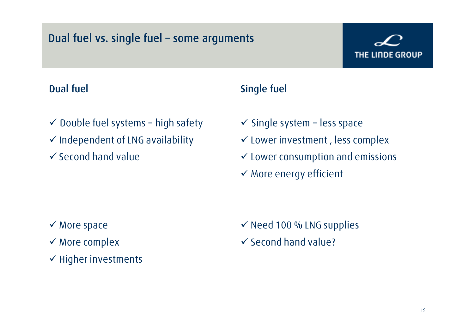## Dual fuel vs. single fuel – some arguments

# THE LINDE GROUP

### Dual fuel

### Single fuel

- $\checkmark$  Double fuel systems = high safety
- $\checkmark$  Independent of LNG availability
- $\checkmark$  Second hand value
- $\checkmark$  Single system = less space
- $\checkmark$  Lower investment , less complex
- $\checkmark$  Lower consumption and emissions
- $\checkmark$  More energy efficient

- $\checkmark$  More space
- $\checkmark$  More complex
- $\checkmark$  Higher investments

 $\checkmark$  Need 100 % LNG supplies - Second hand value?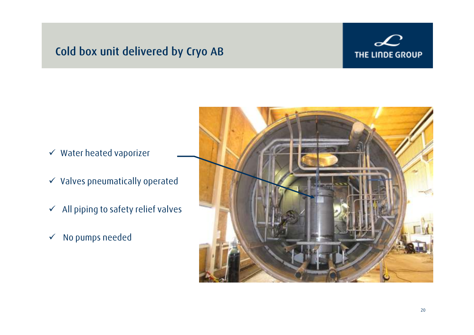## Cold box unit delivered by Cryo AB

![](_page_19_Picture_1.jpeg)

- $\checkmark$  Water heated vaporizer
- $\checkmark$  -Valves pneumatically operated
- $\checkmark$  All piping to safety relief valves
- $\checkmark$ No pumps needed

![](_page_19_Picture_6.jpeg)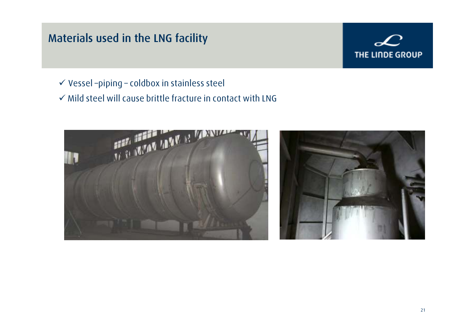# Materials used in the LNG facility

![](_page_20_Picture_1.jpeg)

- $\checkmark$  Vessel –piping coldbox in stainless steel
- $\checkmark$  Mild steel will cause brittle fracture in contact with LNG

![](_page_20_Picture_4.jpeg)

![](_page_20_Picture_5.jpeg)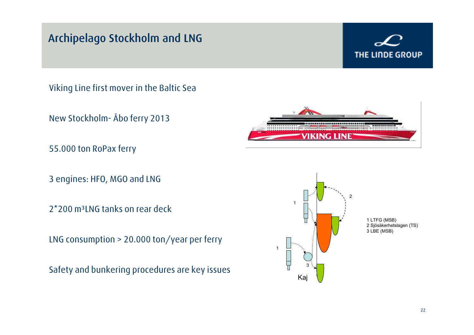# Archipelago Stockholm and LNG

# **THE LINDE GROUP**

Viking Line first mover in the Baltic Sea

New Stockholm- Åbo ferry 2013

55.000 ton RoPax ferry

3 engines: HFO, MGO and LNG

2\*200 m<sup>3</sup>LNG tanks on rear deck

LNG consumption > 20.000 ton/year per ferry

Safety and bunkering procedures are key issues

![](_page_21_Picture_9.jpeg)

![](_page_21_Figure_10.jpeg)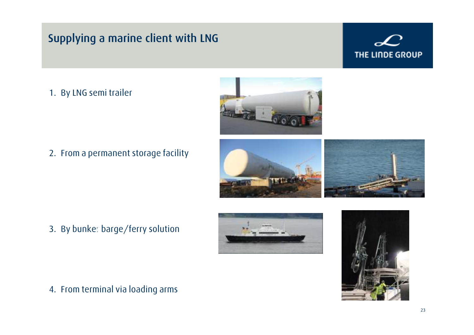# Supplying a marine client with LNG

# THE LINDE GROUP

#### 1. By LNG semi trailer

![](_page_22_Picture_3.jpeg)

2. From a permanent storage facility

![](_page_22_Picture_5.jpeg)

3. By bunker barge/ferry solution

![](_page_22_Picture_7.jpeg)

![](_page_22_Picture_8.jpeg)

4. From terminal via loading arms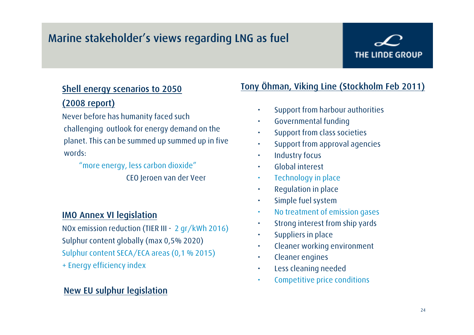# Marine stakeholder's views regarding LNG as fuel

# THE LINDE GROUP

### Shell energy scenarios to 2050 (2008 report)

Never before has humanity faced suchchallenging outlook for energy demand on theplanet. This can be summed up summed up in fivewords:

> "more energy, less carbon dioxide"CEO Jeroen van der Veer

#### IMO Annex VI legislation

NOx emission reduction (TIER III - 2 gr/kWh 2016) Sulphur content globally (max 0,5% 2020)Sulphur content SECA/ECA areas (0,1 % 2015)+ Energy efficiency index

#### New EU sulphur legislation

#### Tony Öhman, Viking Line (Stockholm Feb 2011)

- Support from harbour authorities
- Governmental funding
- Support from class societies
- •Support from approval agencies
- •Industry focus
- •Global interest
- •Technology in place
- Regulation in place•
- Simple fuel system•
- No treatment of emission gases •
- •Strong interest from ship yards
- •Suppliers in place
- Cleaner working environment •
- •Cleaner engines
- •Less cleaning needed
- Competitive price conditions•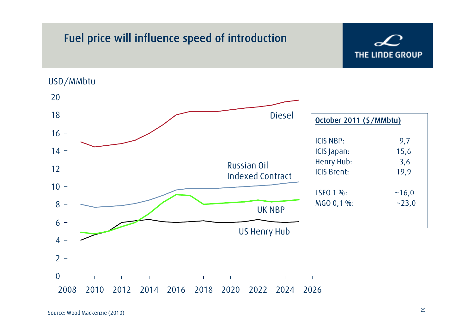# Fuel price will influence speed of introduction

![](_page_24_Picture_1.jpeg)

#### USD/MMbtu

![](_page_24_Figure_3.jpeg)